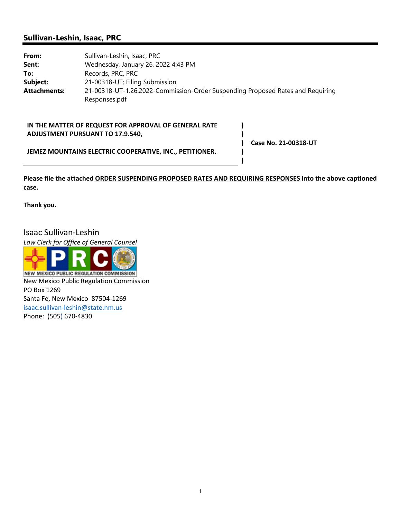# **Sullivan-Leshin, Isaac, PRC**

| From:        | Sullivan-Leshin, Isaac, PRC                                                    |
|--------------|--------------------------------------------------------------------------------|
| Sent:        | Wednesday, January 26, 2022 4:43 PM                                            |
| To:          | Records, PRC, PRC                                                              |
| Subject:     | 21-00318-UT; Filing Submission                                                 |
| Attachments: | 21-00318-UT-1.26.2022-Commission-Order Suspending Proposed Rates and Requiring |
|              | Responses.pdf                                                                  |

## **IN THE MATTER OF REQUEST FOR APPROVAL OF GENERAL RATE ADJUSTMENT PURSUANT TO 17.9.540,**

**Case No. 21‐00318‐UT**

**) ) ) ) )**

**JEMEZ MOUNTAINS ELECTRIC COOPERATIVE, INC., PETITIONER.**

**Please file the attached ORDER SUSPENDING PROPOSED RATES AND REQUIRING RESPONSES into the above captioned case.** 

**Thank you.** 

Isaac Sullivan‐Leshin

*Law Clerk for Office of General Counsel*



**NEW MEXICO PUBLIC REGULATION COMMISSION** New Mexico Public Regulation Commission PO Box 1269 Santa Fe, New Mexico 87504‐1269 isaac.sullivan‐leshin@state.nm.us Phone: (505) 670‐4830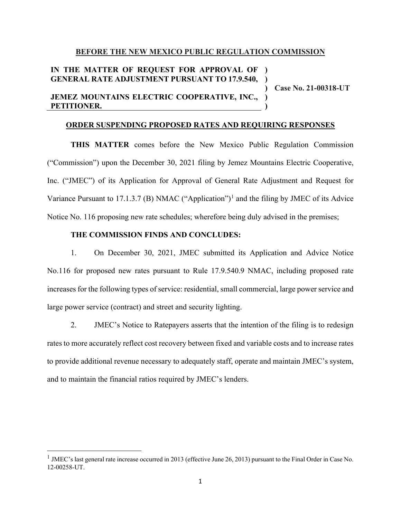#### **BEFORE THE NEW MEXICO PUBLIC REGULATION COMMISSION**

## **IN THE MATTER OF REQUEST FOR APPROVAL OF ) GENERAL RATE ADJUSTMENT PURSUANT TO 17.9.540, )**

**JEMEZ MOUNTAINS ELECTRIC COOPERATIVE, INC., PETITIONER.**

**Case No. 21-00318-UT**

**) ) )**

#### **ORDER SUSPENDING PROPOSED RATES AND REQUIRING RESPONSES**

**THIS MATTER** comes before the New Mexico Public Regulation Commission ("Commission") upon the December 30, 2021 filing by Jemez Mountains Electric Cooperative, Inc. ("JMEC") of its Application for Approval of General Rate Adjustment and Request for Variance Pursuant to [1](#page-1-0)7.1.3.7 (B) NMAC ("Application")<sup>1</sup> and the filing by JMEC of its Advice Notice No. 116 proposing new rate schedules; wherefore being duly advised in the premises;

## **THE COMMISSION FINDS AND CONCLUDES:**

1. On December 30, 2021, JMEC submitted its Application and Advice Notice No.116 for proposed new rates pursuant to Rule 17.9.540.9 NMAC, including proposed rate increases for the following types of service: residential, small commercial, large power service and large power service (contract) and street and security lighting.

2. JMEC's Notice to Ratepayers asserts that the intention of the filing is to redesign rates to more accurately reflect cost recovery between fixed and variable costs and to increase rates to provide additional revenue necessary to adequately staff, operate and maintain JMEC's system, and to maintain the financial ratios required by JMEC's lenders.

<span id="page-1-0"></span> $1$  JMEC's last general rate increase occurred in 2013 (effective June 26, 2013) pursuant to the Final Order in Case No. 12-00258-UT.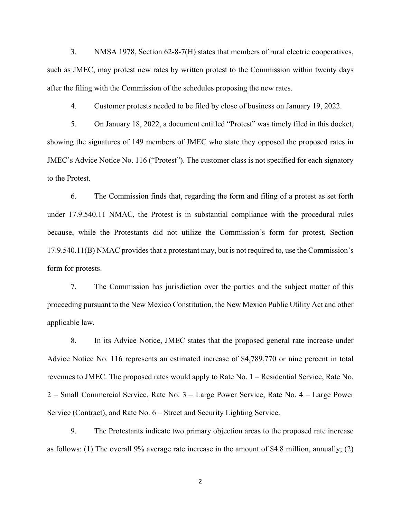3. NMSA 1978, Section 62-8-7(H) states that members of rural electric cooperatives, such as JMEC, may protest new rates by written protest to the Commission within twenty days after the filing with the Commission of the schedules proposing the new rates.

4. Customer protests needed to be filed by close of business on January 19, 2022.

5. On January 18, 2022, a document entitled "Protest" was timely filed in this docket, showing the signatures of 149 members of JMEC who state they opposed the proposed rates in JMEC's Advice Notice No. 116 ("Protest"). The customer class is not specified for each signatory to the Protest.

6. The Commission finds that, regarding the form and filing of a protest as set forth under 17.9.540.11 NMAC, the Protest is in substantial compliance with the procedural rules because, while the Protestants did not utilize the Commission's form for protest, Section 17.9.540.11(B) NMAC provides that a protestant may, but is not required to, use the Commission's form for protests.

7. The Commission has jurisdiction over the parties and the subject matter of this proceeding pursuant to the New Mexico Constitution, the New Mexico Public Utility Act and other applicable law.

8. In its Advice Notice, JMEC states that the proposed general rate increase under Advice Notice No. 116 represents an estimated increase of \$4,789,770 or nine percent in total revenues to JMEC. The proposed rates would apply to Rate No. 1 – Residential Service, Rate No. 2 – Small Commercial Service, Rate No. 3 – Large Power Service, Rate No. 4 – Large Power Service (Contract), and Rate No. 6 – Street and Security Lighting Service.

9. The Protestants indicate two primary objection areas to the proposed rate increase as follows: (1) The overall 9% average rate increase in the amount of \$4.8 million, annually; (2)

2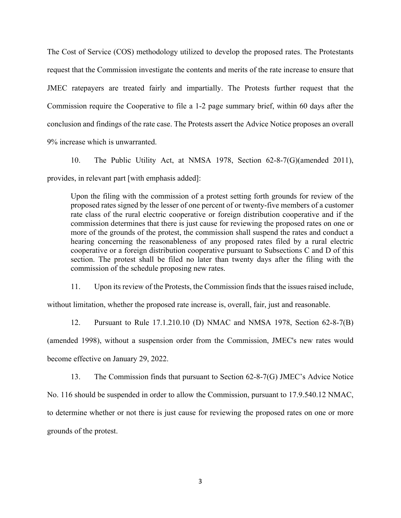The Cost of Service (COS) methodology utilized to develop the proposed rates. The Protestants request that the Commission investigate the contents and merits of the rate increase to ensure that JMEC ratepayers are treated fairly and impartially. The Protests further request that the Commission require the Cooperative to file a 1-2 page summary brief, within 60 days after the conclusion and findings of the rate case. The Protests assert the Advice Notice proposes an overall 9% increase which is unwarranted.

10. The Public Utility Act, at NMSA 1978, Section 62-8-7(G)(amended 2011), provides, in relevant part [with emphasis added]:

Upon the filing with the commission of a protest setting forth grounds for review of the proposed rates signed by the lesser of one percent of or twenty-five members of a customer rate class of the rural electric cooperative or foreign distribution cooperative and if the commission determines that there is just cause for reviewing the proposed rates on one or more of the grounds of the protest, the commission shall suspend the rates and conduct a hearing concerning the reasonableness of any proposed rates filed by a rural electric cooperative or a foreign distribution cooperative pursuant to Subsections C and D of this section. The protest shall be filed no later than twenty days after the filing with the commission of the schedule proposing new rates.

11. Upon its review of the Protests, the Commission finds that the issues raised include,

without limitation, whether the proposed rate increase is, overall, fair, just and reasonable.

12. Pursuant to Rule 17.1.210.10 (D) NMAC and NMSA 1978, Section 62-8-7(B) (amended 1998), without a suspension order from the Commission, JMEC's new rates would become effective on January 29, 2022.

13. The Commission finds that pursuant to Section 62-8-7(G) JMEC's Advice Notice

No. 116 should be suspended in order to allow the Commission, pursuant to 17.9.540.12 NMAC, to determine whether or not there is just cause for reviewing the proposed rates on one or more grounds of the protest.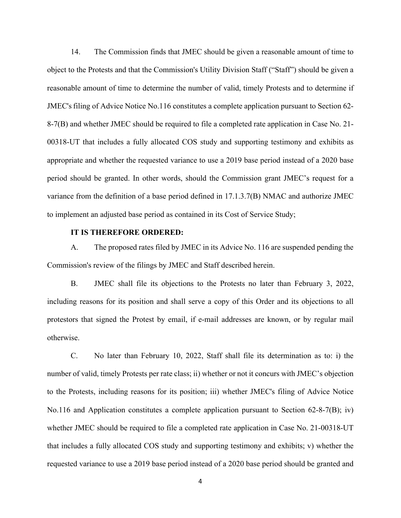14. The Commission finds that JMEC should be given a reasonable amount of time to object to the Protests and that the Commission's Utility Division Staff ("Staff") should be given a reasonable amount of time to determine the number of valid, timely Protests and to determine if JMEC's filing of Advice Notice No.116 constitutes a complete application pursuant to Section 62-8-7(B) and whether JMEC should be required to file a completed rate application in Case No. 21- 00318-UT that includes a fully allocated COS study and supporting testimony and exhibits as appropriate and whether the requested variance to use a 2019 base period instead of a 2020 base period should be granted. In other words, should the Commission grant JMEC's request for a variance from the definition of a base period defined in 17.1.3.7(B) NMAC and authorize JMEC to implement an adjusted base period as contained in its Cost of Service Study;

### **IT IS THEREFORE ORDERED:**

A. The proposed rates filed by JMEC in its Advice No. 116 are suspended pending the Commission's review of the filings by JMEC and Staff described herein.

B. JMEC shall file its objections to the Protests no later than February 3, 2022, including reasons for its position and shall serve a copy of this Order and its objections to all protestors that signed the Protest by email, if e-mail addresses are known, or by regular mail otherwise.

C. No later than February 10, 2022, Staff shall file its determination as to: i) the number of valid, timely Protests per rate class; ii) whether or not it concurs with JMEC's objection to the Protests, including reasons for its position; iii) whether JMEC's filing of Advice Notice No.116 and Application constitutes a complete application pursuant to Section 62-8-7(B); iv) whether JMEC should be required to file a completed rate application in Case No. 21-00318-UT that includes a fully allocated COS study and supporting testimony and exhibits; v) whether the requested variance to use a 2019 base period instead of a 2020 base period should be granted and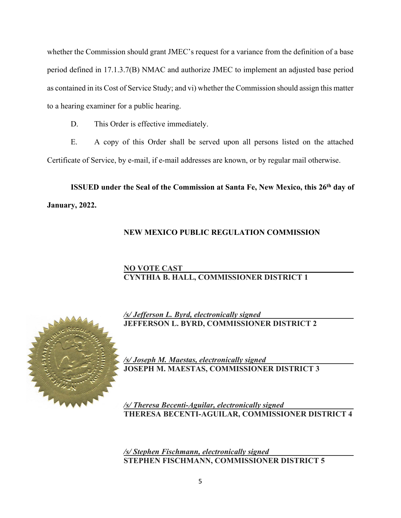whether the Commission should grant JMEC's request for a variance from the definition of a base period defined in 17.1.3.7(B) NMAC and authorize JMEC to implement an adjusted base period as contained in its Cost of Service Study; and vi) whether the Commission should assign this matter to a hearing examiner for a public hearing.

D. This Order is effective immediately.

E. A copy of this Order shall be served upon all persons listed on the attached Certificate of Service, by e-mail, if e-mail addresses are known, or by regular mail otherwise.

**ISSUED** under the Seal of the Commission at Santa Fe, New Mexico, this 26<sup>th</sup> day of **January, 2022.**

# **NEW MEXICO PUBLIC REGULATION COMMISSION**

# **NO VOTE CAST CYNTHIA B. HALL, COMMISSIONER DISTRICT 1**



*/s/ Jefferson L. Byrd, electronically signed* **JEFFERSON L. BYRD, COMMISSIONER DISTRICT 2**

*/s/ Joseph M. Maestas, electronically signed*  **JOSEPH M. MAESTAS, COMMISSIONER DISTRICT 3**

*/s/ Theresa Becenti-Aguilar, electronically signed* **THERESA BECENTI-AGUILAR, COMMISSIONER DISTRICT 4**

*/s/ Stephen Fischmann, electronically signed* **STEPHEN FISCHMANN, COMMISSIONER DISTRICT 5**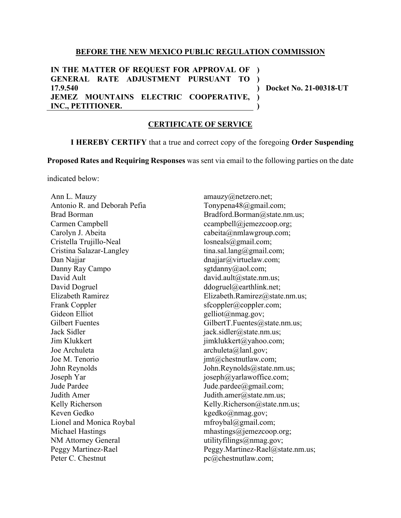### **BEFORE THE NEW MEXICO PUBLIC REGULATION COMMISSION**

**IN THE MATTER OF REQUEST FOR APPROVAL OF ) GENERAL RATE ADJUSTMENT PURSUANT TO ) 17.9.540 JEMEZ MOUNTAINS ELECTRIC COOPERATIVE, INC., PETITIONER. ) ) )**

**Docket No. 21-00318-UT**

### **CERTIFICATE OF SERVICE**

**I HEREBY CERTIFY** that a true and correct copy of the foregoing **Order Suspending** 

**Proposed Rates and Requiring Responses** was sent via email to the following parties on the date

indicated below:

Ann L. Mauzy Antonio R. and Deborah Pefia Brad Borman Carmen Campbell Carolyn J. Abeita Cristella Trujillo-Neal Cristina Salazar-Langley Dan Najjar Danny Ray Campo David Ault David Dogruel Elizabeth Ramirez Frank Coppler Gideon Elliot Gilbert Fuentes Jack Sidler Jim Klukkert Joe Archuleta Joe M. Tenorio John Reynolds Joseph Yar Jude Pardee Judith Amer Kelly Richerson Keven Gedko Lionel and Monica Roybal Michael Hastings NM Attorney General Peggy Martinez-Rael Peter C. Chestnut

amauzy@netzero.net; Tonypena48@gmail.com; Bradford.Borman@state.nm.us; ccampbell@jemezcoop.org; cabeita@nmlawgroup.com; losneals@gmail.com; tina.sal.lang@gmail.com; dnajjar@virtuelaw.com; sgtdanny@aol.com; david.ault@state.nm.us; ddogruel@earthlink.net; Elizabeth.Ramirez@state.nm.us; sfcoppler@coppler.com; gelliot@nmag.gov; GilbertT.Fuentes@state.nm.us; jack.sidler@state.nm.us; jimklukkert@yahoo.com; archuleta@lanl.gov; jmt@chestnutlaw.com; John.Reynolds@state.nm.us; joseph@yarlawoffice.com; Jude.pardee@gmail.com; Judith.amer@state.nm.us; Kelly.Richerson@state.nm.us; kgedko@nmag.gov; mfroybal@gmail.com; mhastings@jemezcoop.org; utilityfilings@nmag.gov; Peggy.Martinez-Rael@state.nm.us; pc@chestnutlaw.com;